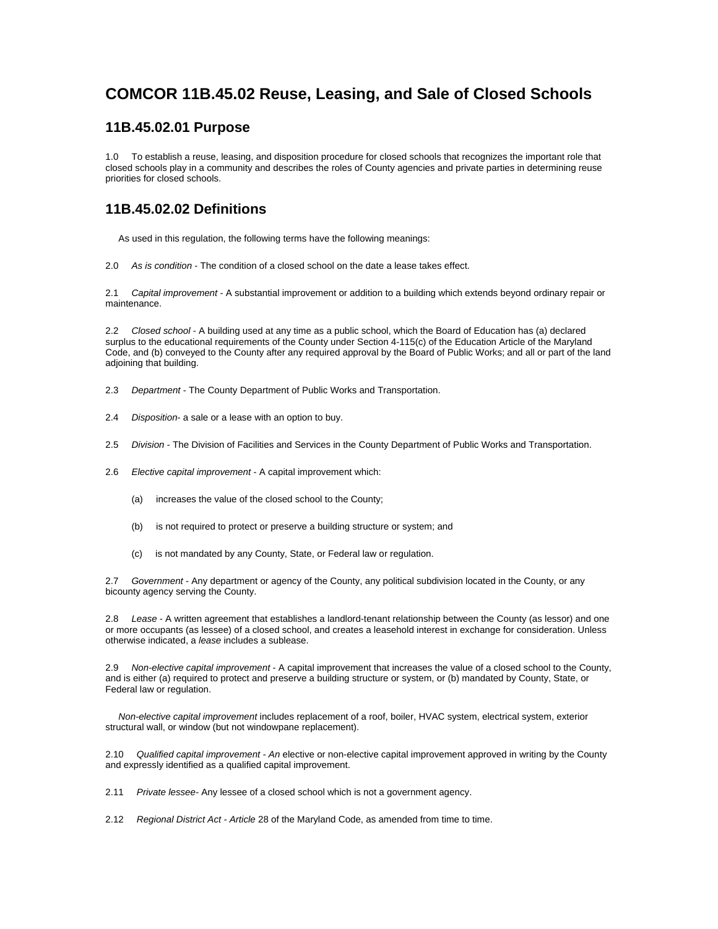# **COMCOR 11B.45.02 Reuse, Leasing, and Sale of Closed Schools**

#### **11B.45.02.01 Purpose**

1.0 To establish a reuse, leasing, and disposition procedure for closed schools that recognizes the important role that closed schools play in a community and describes the roles of County agencies and private parties in determining reuse priorities for closed schools.

### **11B.45.02.02 Definitions**

As used in this regulation, the following terms have the following meanings:

2.0 *As is condition* - The condition of a closed school on the date a lease takes effect.

2.1 *Capital improvement* - A substantial improvement or addition to a building which extends beyond ordinary repair or maintenance.

2.2 *Closed school* - A building used at any time as a public school, which the Board of Education has (a) declared surplus to the educational requirements of the County under Section 4-115(c) of the Education Article of the Maryland Code, and (b) conveyed to the County after any required approval by the Board of Public Works; and all or part of the land adjoining that building.

- 2.3 *Department* The County Department of Public Works and Transportation.
- 2.4 *Disposition* a sale or a lease with an option to buy.
- 2.5 *Division* The Division of Facilities and Services in the County Department of Public Works and Transportation.
- 2.6 *Elective capital improvement* A capital improvement which:
	- (a) increases the value of the closed school to the County;
	- (b) is not required to protect or preserve a building structure or system; and
	- (c) is not mandated by any County, State, or Federal law or regulation.

2.7 *Government* - Any department or agency of the County, any political subdivision located in the County, or any bicounty agency serving the County.

2.8 *Lease* - A written agreement that establishes a landlord-tenant relationship between the County (as lessor) and one or more occupants (as lessee) of a closed school, and creates a leasehold interest in exchange for consideration. Unless otherwise indicated, a *lease* includes a sublease.

2.9 *Non-elective capital improvement* - A capital improvement that increases the value of a closed school to the County, and is either (a) required to protect and preserve a building structure or system, or (b) mandated by County, State, or Federal law or regulation.

 *Non-elective capital improvement* includes replacement of a roof, boiler, HVAC system, electrical system, exterior structural wall, or window (but not windowpane replacement).

2.10 *Qualified capital improvement - An* elective or non-elective capital improvement approved in writing by the County and expressly identified as a qualified capital improvement.

2.11 *Private lessee-* Any lessee of a closed school which is not a government agency.

2.12 *Regional District Act - Article* 28 of the Maryland Code, as amended from time to time.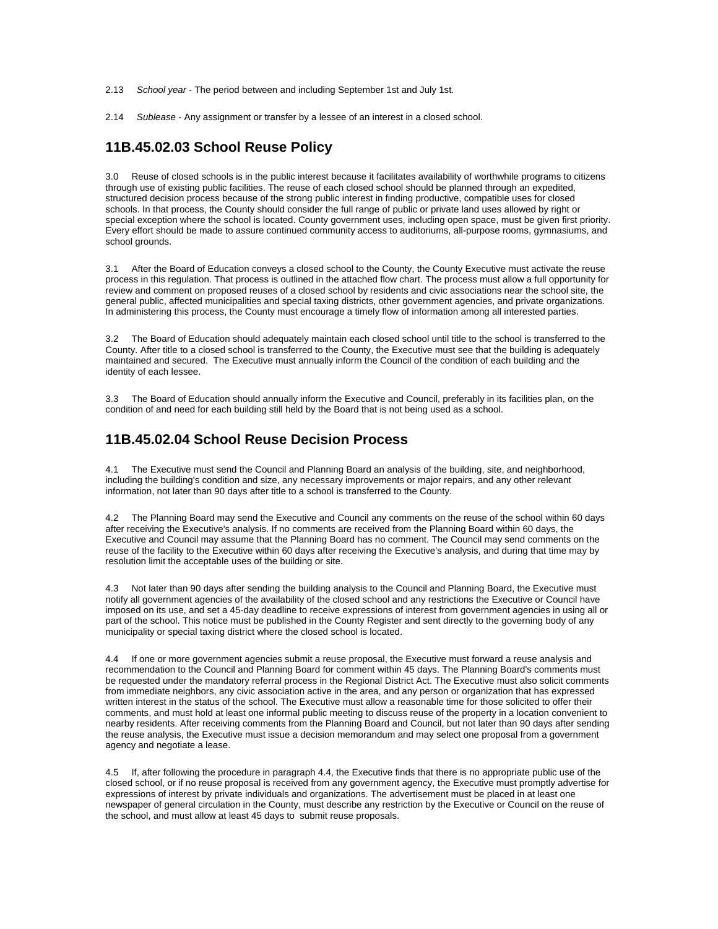- 2.13 *School year* The period between and including September 1st and July 1st.
- 2.14 *Sublease* Any assignment or transfer by a lessee of an interest in a closed school.

### **11B.45.02.03 School Reuse Policy**

3.0 Reuse of closed schools is in the public interest because it facilitates availability of worthwhile programs to citizens through use of existing public facilities. The reuse of each closed school should be planned through an expedited, structured decision process because of the strong public interest in finding productive, compatible uses for closed schools. In that process, the County should consider the full range of public or private land uses allowed by right or special exception where the school is located. County government uses, including open space, must be given first priority. Every effort should be made to assure continued community access to auditoriums, all-purpose rooms, gymnasiums, and school grounds.

3.1 After the Board of Education conveys a closed school to the County, the County Executive must activate the reuse process in this regulation. That process is outlined in the attached flow chart. The process must allow a full opportunity for review and comment on proposed reuses of a closed school by residents and civic associations near the school site, the general public, affected municipalities and special taxing districts, other government agencies, and private organizations. In administering this process, the County must encourage a timely flow of information among all interested parties.

3.2 The Board of Education should adequately maintain each closed school until title to the school is transferred to the County. After title to a closed school is transferred to the County, the Executive must see that the building is adequately maintained and secured. The Executive must annually inform the Council of the condition of each building and the identity of each lessee.

3.3 The Board of Education should annually inform the Executive and Council, preferably in its facilities plan, on the condition of and need for each building still held by the Board that is not being used as a school.

#### **11B.45.02.04 School Reuse Decision Process**

4.1 The Executive must send the Council and Planning Board an analysis of the building, site, and neighborhood, including the building's condition and size, any necessary improvements or major repairs, and any other relevant information, not later than 90 days after title to a school is transferred to the County.

4.2 The Planning Board may send the Executive and Council any comments on the reuse of the school within 60 days after receiving the Executive's analysis. If no comments are received from the Planning Board within 60 days, the Executive and Council may assume that the Planning Board has no comment. The Council may send comments on the reuse of the facility to the Executive within 60 days after receiving the Executive's analysis, and during that time may by resolution limit the acceptable uses of the building or site.

4.3 Not later than 90 days after sending the building analysis to the Council and Planning Board, the Executive must notify all government agencies of the availability of the closed school and any restrictions the Executive or Council have imposed on its use, and set a 45-day deadline to receive expressions of interest from government agencies in using all or part of the school. This notice must be published in the County Register and sent directly to the governing body of any municipality or special taxing district where the closed school is located.

4.4 If one or more government agencies submit a reuse proposal, the Executive must forward a reuse analysis and recommendation to the Council and Planning Board for comment within 45 days. The Planning Board's comments must be requested under the mandatory referral process in the Regional District Act. The Executive must also solicit comments from immediate neighbors, any civic association active in the area, and any person or organization that has expressed written interest in the status of the school. The Executive must allow a reasonable time for those solicited to offer their comments, and must hold at least one informal public meeting to discuss reuse of the property in a location convenient to nearby residents. After receiving comments from the Planning Board and Council, but not later than 90 days after sending the reuse analysis, the Executive must issue a decision memorandum and may select one proposal from a government agency and negotiate a lease.

4.5 If, after following the procedure in paragraph 4.4, the Executive finds that there is no appropriate public use of the closed school, or if no reuse proposal is received from any government agency, the Executive must promptly advertise for expressions of interest by private individuals and organizations. The advertisement must be placed in at least one newspaper of general circulation in the County, must describe any restriction by the Executive or Council on the reuse of the school, and must allow at least 45 days to submit reuse proposals.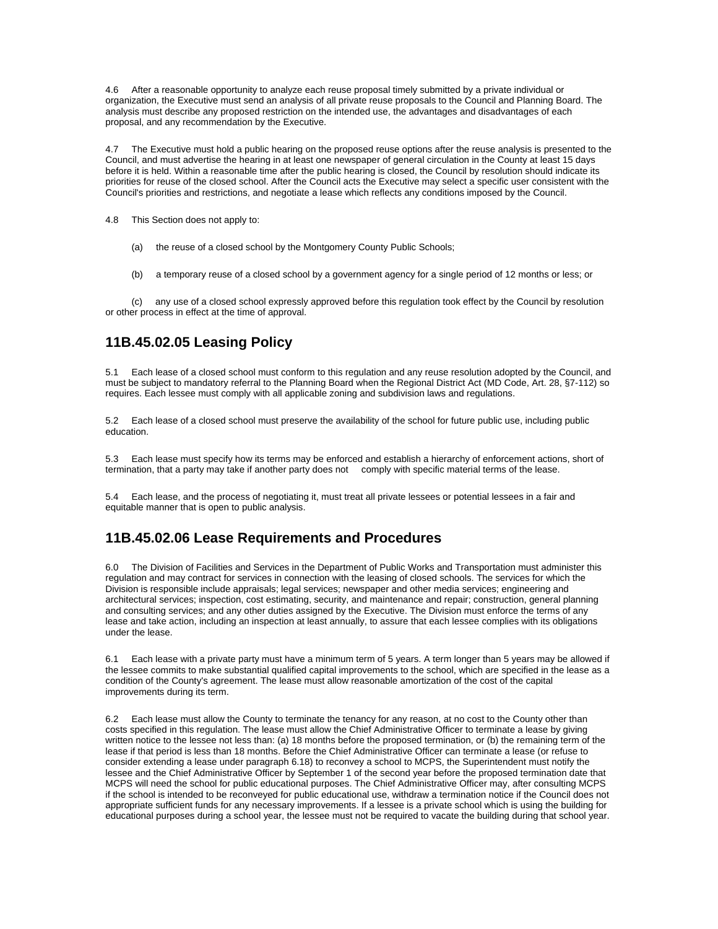4.6 After a reasonable opportunity to analyze each reuse proposal timely submitted by a private individual or organization, the Executive must send an analysis of all private reuse proposals to the Council and Planning Board. The analysis must describe any proposed restriction on the intended use, the advantages and disadvantages of each proposal, and any recommendation by the Executive.

4.7 The Executive must hold a public hearing on the proposed reuse options after the reuse analysis is presented to the Council, and must advertise the hearing in at least one newspaper of general circulation in the County at least 15 days before it is held. Within a reasonable time after the public hearing is closed, the Council by resolution should indicate its priorities for reuse of the closed school. After the Council acts the Executive may select a specific user consistent with the Council's priorities and restrictions, and negotiate a lease which reflects any conditions imposed by the Council.

4.8 This Section does not apply to:

- (a) the reuse of a closed school by the Montgomery County Public Schools;
- (b) a temporary reuse of a closed school by a government agency for a single period of 12 months or less; or

 (c) any use of a closed school expressly approved before this regulation took effect by the Council by resolution or other process in effect at the time of approval.

## **11B.45.02.05 Leasing Policy**

5.1 Each lease of a closed school must conform to this regulation and any reuse resolution adopted by the Council, and must be subject to mandatory referral to the Planning Board when the Regional District Act (MD Code, Art. 28, §7-112) so requires. Each lessee must comply with all applicable zoning and subdivision laws and regulations.

5.2 Each lease of a closed school must preserve the availability of the school for future public use, including public education.

5.3 Each lease must specify how its terms may be enforced and establish a hierarchy of enforcement actions, short of termination, that a party may take if another party does not comply with specific material terms of the lease.

5.4 Each lease, and the process of negotiating it, must treat all private lessees or potential lessees in a fair and equitable manner that is open to public analysis.

#### **11B.45.02.06 Lease Requirements and Procedures**

6.0 The Division of Facilities and Services in the Department of Public Works and Transportation must administer this regulation and may contract for services in connection with the leasing of closed schools. The services for which the Division is responsible include appraisals; legal services; newspaper and other media services; engineering and architectural services; inspection, cost estimating, security, and maintenance and repair; construction, general planning and consulting services; and any other duties assigned by the Executive. The Division must enforce the terms of any lease and take action, including an inspection at least annually, to assure that each lessee complies with its obligations under the lease.

6.1 Each lease with a private party must have a minimum term of 5 years. A term longer than 5 years may be allowed if the lessee commits to make substantial qualified capital improvements to the school, which are specified in the lease as a condition of the County's agreement. The lease must allow reasonable amortization of the cost of the capital improvements during its term.

6.2 Each lease must allow the County to terminate the tenancy for any reason, at no cost to the County other than costs specified in this regulation. The lease must allow the Chief Administrative Officer to terminate a lease by giving written notice to the lessee not less than: (a) 18 months before the proposed termination, or (b) the remaining term of the lease if that period is less than 18 months. Before the Chief Administrative Officer can terminate a lease (or refuse to consider extending a lease under paragraph 6.18) to reconvey a school to MCPS, the Superintendent must notify the lessee and the Chief Administrative Officer by September 1 of the second year before the proposed termination date that MCPS will need the school for public educational purposes. The Chief Administrative Officer may, after consulting MCPS if the school is intended to be reconveyed for public educational use, withdraw a termination notice if the Council does not appropriate sufficient funds for any necessary improvements. If a lessee is a private school which is using the building for educational purposes during a school year, the lessee must not be required to vacate the building during that school year.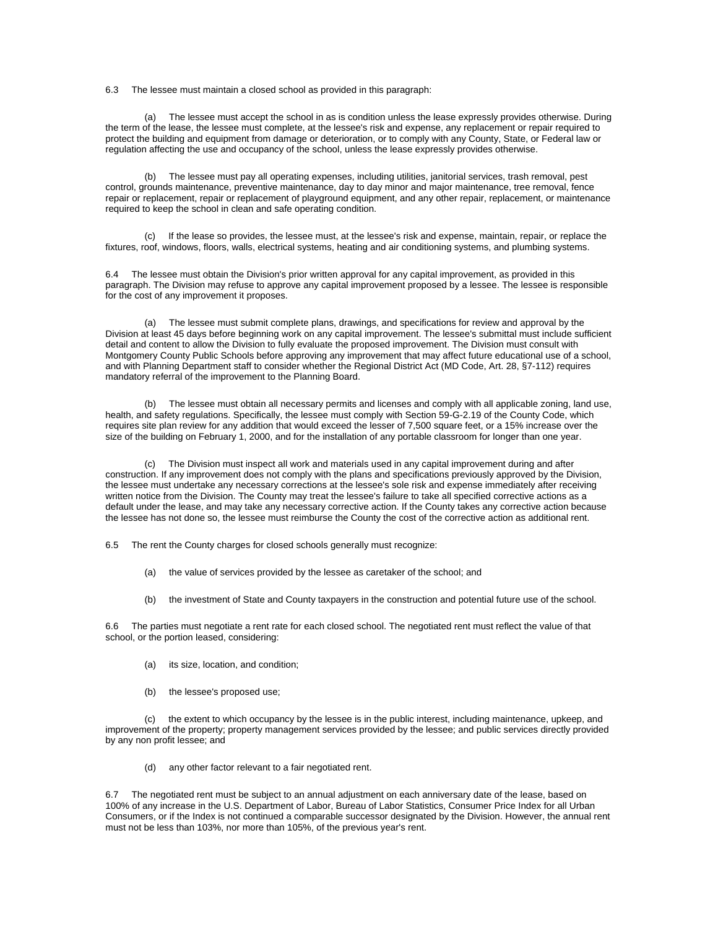6.3 The lessee must maintain a closed school as provided in this paragraph:

 (a) The lessee must accept the school in as is condition unless the lease expressly provides otherwise. During the term of the lease, the lessee must complete, at the lessee's risk and expense, any replacement or repair required to protect the building and equipment from damage or deterioration, or to comply with any County, State, or Federal law or regulation affecting the use and occupancy of the school, unless the lease expressly provides otherwise.

 (b) The lessee must pay all operating expenses, including utilities, janitorial services, trash removal, pest control, grounds maintenance, preventive maintenance, day to day minor and major maintenance, tree removal, fence repair or replacement, repair or replacement of playground equipment, and any other repair, replacement, or maintenance required to keep the school in clean and safe operating condition.

 (c) If the lease so provides, the lessee must, at the lessee's risk and expense, maintain, repair, or replace the fixtures, roof, windows, floors, walls, electrical systems, heating and air conditioning systems, and plumbing systems.

6.4 The lessee must obtain the Division's prior written approval for any capital improvement, as provided in this paragraph. The Division may refuse to approve any capital improvement proposed by a lessee. The lessee is responsible for the cost of any improvement it proposes.

 (a) The lessee must submit complete plans, drawings, and specifications for review and approval by the Division at least 45 days before beginning work on any capital improvement. The lessee's submittal must include sufficient detail and content to allow the Division to fully evaluate the proposed improvement. The Division must consult with Montgomery County Public Schools before approving any improvement that may affect future educational use of a school, and with Planning Department staff to consider whether the Regional District Act (MD Code, Art. 28, §7-112) requires mandatory referral of the improvement to the Planning Board.

 (b) The lessee must obtain all necessary permits and licenses and comply with all applicable zoning, land use, health, and safety regulations. Specifically, the lessee must comply with Section 59-G-2.19 of the County Code, which requires site plan review for any addition that would exceed the lesser of 7,500 square feet, or a 15% increase over the size of the building on February 1, 2000, and for the installation of any portable classroom for longer than one year.

 (c) The Division must inspect all work and materials used in any capital improvement during and after construction. If any improvement does not comply with the plans and specifications previously approved by the Division, the lessee must undertake any necessary corrections at the lessee's sole risk and expense immediately after receiving written notice from the Division. The County may treat the lessee's failure to take all specified corrective actions as a default under the lease, and may take any necessary corrective action. If the County takes any corrective action because the lessee has not done so, the lessee must reimburse the County the cost of the corrective action as additional rent.

6.5 The rent the County charges for closed schools generally must recognize:

- (a) the value of services provided by the lessee as caretaker of the school; and
- (b) the investment of State and County taxpayers in the construction and potential future use of the school.

6.6 The parties must negotiate a rent rate for each closed school. The negotiated rent must reflect the value of that school, or the portion leased, considering:

- (a) its size, location, and condition;
- (b) the lessee's proposed use;

 (c) the extent to which occupancy by the lessee is in the public interest, including maintenance, upkeep, and improvement of the property; property management services provided by the lessee; and public services directly provided by any non profit lessee; and

(d) any other factor relevant to a fair negotiated rent.

6.7 The negotiated rent must be subject to an annual adjustment on each anniversary date of the lease, based on 100% of any increase in the U.S. Department of Labor, Bureau of Labor Statistics, Consumer Price Index for all Urban Consumers, or if the Index is not continued a comparable successor designated by the Division. However, the annual rent must not be less than 103%, nor more than 105%, of the previous year's rent.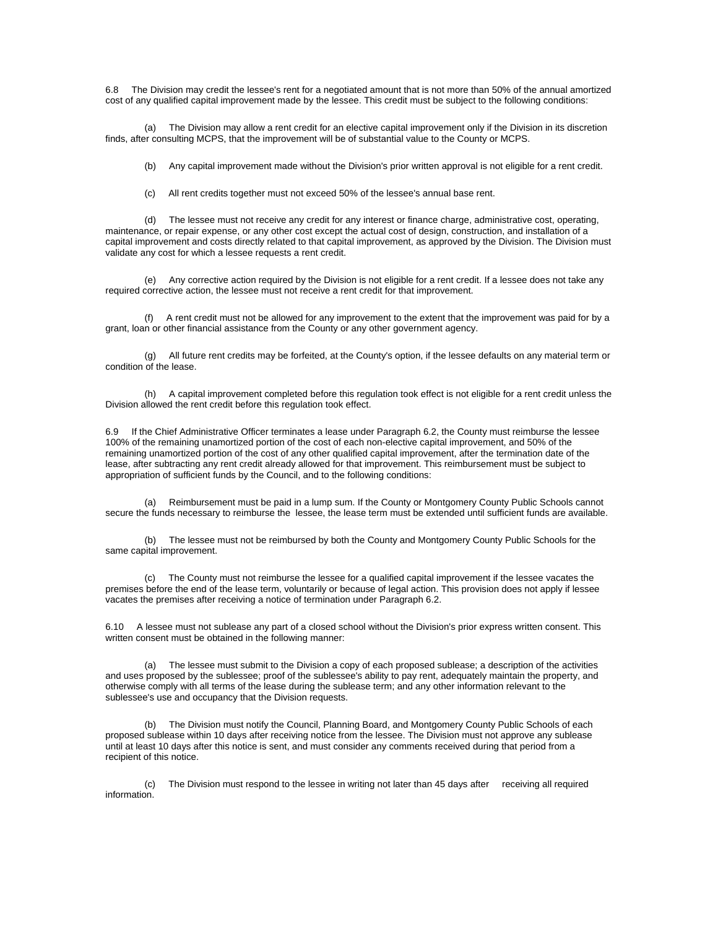6.8 The Division may credit the lessee's rent for a negotiated amount that is not more than 50% of the annual amortized cost of any qualified capital improvement made by the lessee. This credit must be subject to the following conditions:

 (a) The Division may allow a rent credit for an elective capital improvement only if the Division in its discretion finds, after consulting MCPS, that the improvement will be of substantial value to the County or MCPS.

(b) Any capital improvement made without the Division's prior written approval is not eligible for a rent credit.

(c) All rent credits together must not exceed 50% of the lessee's annual base rent.

 (d) The lessee must not receive any credit for any interest or finance charge, administrative cost, operating, maintenance, or repair expense, or any other cost except the actual cost of design, construction, and installation of a capital improvement and costs directly related to that capital improvement, as approved by the Division. The Division must validate any cost for which a lessee requests a rent credit.

 (e) Any corrective action required by the Division is not eligible for a rent credit. If a lessee does not take any required corrective action, the lessee must not receive a rent credit for that improvement.

 (f) A rent credit must not be allowed for any improvement to the extent that the improvement was paid for by a grant, loan or other financial assistance from the County or any other government agency.

 (g) All future rent credits may be forfeited, at the County's option, if the lessee defaults on any material term or condition of the lease.

 (h) A capital improvement completed before this regulation took effect is not eligible for a rent credit unless the Division allowed the rent credit before this regulation took effect.

6.9 If the Chief Administrative Officer terminates a lease under Paragraph 6.2, the County must reimburse the lessee 100% of the remaining unamortized portion of the cost of each non-elective capital improvement, and 50% of the remaining unamortized portion of the cost of any other qualified capital improvement, after the termination date of the lease, after subtracting any rent credit already allowed for that improvement. This reimbursement must be subject to appropriation of sufficient funds by the Council, and to the following conditions:

 (a) Reimbursement must be paid in a lump sum. If the County or Montgomery County Public Schools cannot secure the funds necessary to reimburse the lessee, the lease term must be extended until sufficient funds are available.

 (b) The lessee must not be reimbursed by both the County and Montgomery County Public Schools for the same capital improvement.

 (c) The County must not reimburse the lessee for a qualified capital improvement if the lessee vacates the premises before the end of the lease term, voluntarily or because of legal action. This provision does not apply if lessee vacates the premises after receiving a notice of termination under Paragraph 6.2.

6.10 A lessee must not sublease any part of a closed school without the Division's prior express written consent. This written consent must be obtained in the following manner:

The lessee must submit to the Division a copy of each proposed sublease; a description of the activities and uses proposed by the sublessee; proof of the sublessee's ability to pay rent, adequately maintain the property, and otherwise comply with all terms of the lease during the sublease term; and any other information relevant to the sublessee's use and occupancy that the Division requests.

 (b) The Division must notify the Council, Planning Board, and Montgomery County Public Schools of each proposed sublease within 10 days after receiving notice from the lessee. The Division must not approve any sublease until at least 10 days after this notice is sent, and must consider any comments received during that period from a recipient of this notice.

 (c) The Division must respond to the lessee in writing not later than 45 days after receiving all required information.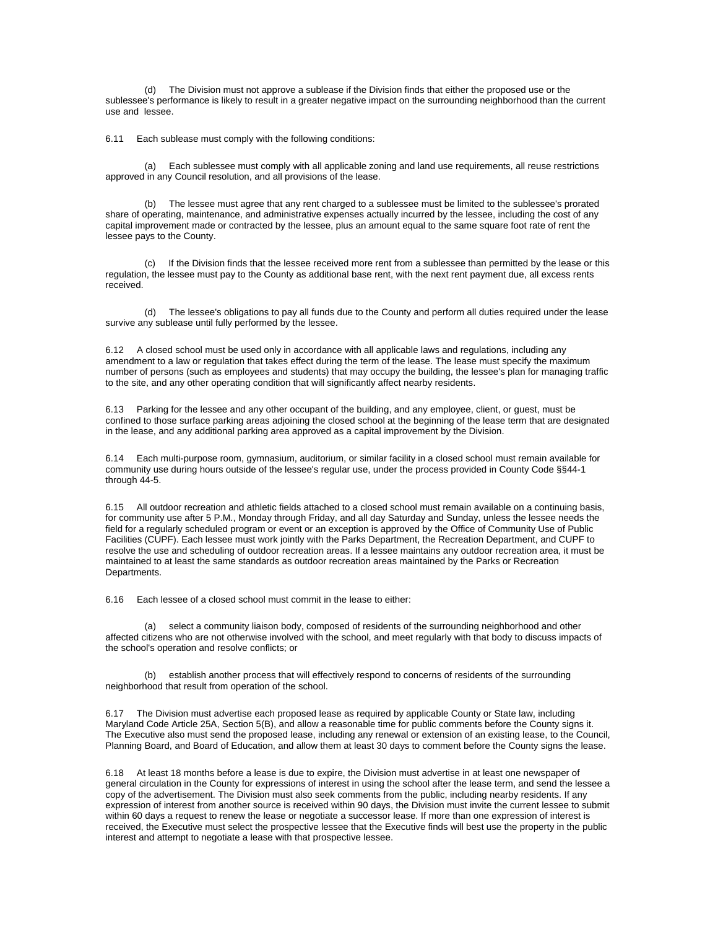(d) The Division must not approve a sublease if the Division finds that either the proposed use or the sublessee's performance is likely to result in a greater negative impact on the surrounding neighborhood than the current use and lessee.

6.11 Each sublease must comply with the following conditions:

 (a) Each sublessee must comply with all applicable zoning and land use requirements, all reuse restrictions approved in any Council resolution, and all provisions of the lease.

 (b) The lessee must agree that any rent charged to a sublessee must be limited to the sublessee's prorated share of operating, maintenance, and administrative expenses actually incurred by the lessee, including the cost of any capital improvement made or contracted by the lessee, plus an amount equal to the same square foot rate of rent the lessee pays to the County.

 (c) If the Division finds that the lessee received more rent from a sublessee than permitted by the lease or this regulation, the lessee must pay to the County as additional base rent, with the next rent payment due, all excess rents received.

 (d) The lessee's obligations to pay all funds due to the County and perform all duties required under the lease survive any sublease until fully performed by the lessee.

6.12 A closed school must be used only in accordance with all applicable laws and regulations, including any amendment to a law or regulation that takes effect during the term of the lease. The lease must specify the maximum number of persons (such as employees and students) that may occupy the building, the lessee's plan for managing traffic to the site, and any other operating condition that will significantly affect nearby residents.

6.13 Parking for the lessee and any other occupant of the building, and any employee, client, or guest, must be confined to those surface parking areas adjoining the closed school at the beginning of the lease term that are designated in the lease, and any additional parking area approved as a capital improvement by the Division.

6.14 Each multi-purpose room, gymnasium, auditorium, or similar facility in a closed school must remain available for community use during hours outside of the lessee's regular use, under the process provided in County Code §§44-1 through 44-5.

6.15 All outdoor recreation and athletic fields attached to a closed school must remain available on a continuing basis, for community use after 5 P.M., Monday through Friday, and all day Saturday and Sunday, unless the lessee needs the field for a regularly scheduled program or event or an exception is approved by the Office of Community Use of Public Facilities (CUPF). Each lessee must work jointly with the Parks Department, the Recreation Department, and CUPF to resolve the use and scheduling of outdoor recreation areas. If a lessee maintains any outdoor recreation area, it must be maintained to at least the same standards as outdoor recreation areas maintained by the Parks or Recreation Departments.

6.16 Each lessee of a closed school must commit in the lease to either:

 (a) select a community liaison body, composed of residents of the surrounding neighborhood and other affected citizens who are not otherwise involved with the school, and meet regularly with that body to discuss impacts of the school's operation and resolve conflicts; or

 (b) establish another process that will effectively respond to concerns of residents of the surrounding neighborhood that result from operation of the school.

6.17 The Division must advertise each proposed lease as required by applicable County or State law, including Maryland Code Article 25A, Section 5(B), and allow a reasonable time for public comments before the County signs it. The Executive also must send the proposed lease, including any renewal or extension of an existing lease, to the Council, Planning Board, and Board of Education, and allow them at least 30 days to comment before the County signs the lease.

6.18 At least 18 months before a lease is due to expire, the Division must advertise in at least one newspaper of general circulation in the County for expressions of interest in using the school after the lease term, and send the lessee a copy of the advertisement. The Division must also seek comments from the public, including nearby residents. If any expression of interest from another source is received within 90 days, the Division must invite the current lessee to submit within 60 days a request to renew the lease or negotiate a successor lease. If more than one expression of interest is received, the Executive must select the prospective lessee that the Executive finds will best use the property in the public interest and attempt to negotiate a lease with that prospective lessee.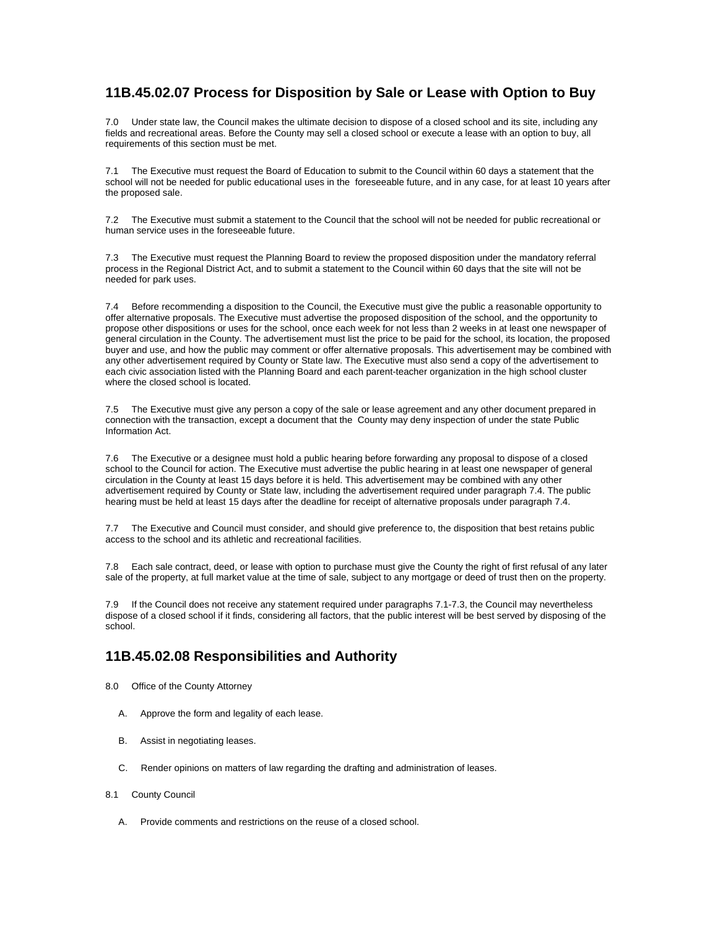### **11B.45.02.07 Process for Disposition by Sale or Lease with Option to Buy**

7.0 Under state law, the Council makes the ultimate decision to dispose of a closed school and its site, including any fields and recreational areas. Before the County may sell a closed school or execute a lease with an option to buy, all requirements of this section must be met.

7.1 The Executive must request the Board of Education to submit to the Council within 60 days a statement that the school will not be needed for public educational uses in the foreseeable future, and in any case, for at least 10 years after the proposed sale.

7.2 The Executive must submit a statement to the Council that the school will not be needed for public recreational or human service uses in the foreseeable future.

7.3 The Executive must request the Planning Board to review the proposed disposition under the mandatory referral process in the Regional District Act, and to submit a statement to the Council within 60 days that the site will not be needed for park uses.

7.4 Before recommending a disposition to the Council, the Executive must give the public a reasonable opportunity to offer alternative proposals. The Executive must advertise the proposed disposition of the school, and the opportunity to propose other dispositions or uses for the school, once each week for not less than 2 weeks in at least one newspaper of general circulation in the County. The advertisement must list the price to be paid for the school, its location, the proposed buyer and use, and how the public may comment or offer alternative proposals. This advertisement may be combined with any other advertisement required by County or State law. The Executive must also send a copy of the advertisement to each civic association listed with the Planning Board and each parent-teacher organization in the high school cluster where the closed school is located.

7.5 The Executive must give any person a copy of the sale or lease agreement and any other document prepared in connection with the transaction, except a document that the County may deny inspection of under the state Public Information Act.

7.6 The Executive or a designee must hold a public hearing before forwarding any proposal to dispose of a closed school to the Council for action. The Executive must advertise the public hearing in at least one newspaper of general circulation in the County at least 15 days before it is held. This advertisement may be combined with any other advertisement required by County or State law, including the advertisement required under paragraph 7.4. The public hearing must be held at least 15 days after the deadline for receipt of alternative proposals under paragraph 7.4.

7.7 The Executive and Council must consider, and should give preference to, the disposition that best retains public access to the school and its athletic and recreational facilities.

7.8 Each sale contract, deed, or lease with option to purchase must give the County the right of first refusal of any later sale of the property, at full market value at the time of sale, subject to any mortgage or deed of trust then on the property.

7.9 If the Council does not receive any statement required under paragraphs 7.1-7.3, the Council may nevertheless dispose of a closed school if it finds, considering all factors, that the public interest will be best served by disposing of the school.

## **11B.45.02.08 Responsibilities and Authority**

- 8.0 Office of the County Attorney
	- A. Approve the form and legality of each lease.
	- B. Assist in negotiating leases.
	- C. Render opinions on matters of law regarding the drafting and administration of leases.
- 8.1 County Council
	- A. Provide comments and restrictions on the reuse of a closed school.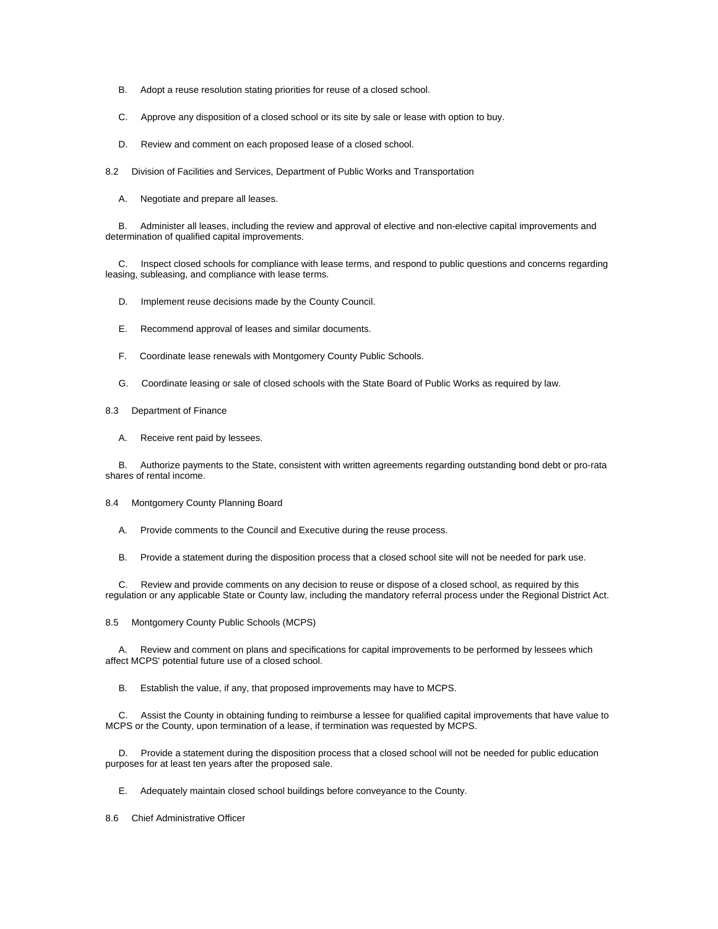- B. Adopt a reuse resolution stating priorities for reuse of a closed school.
- C. Approve any disposition of a closed school or its site by sale or lease with option to buy.
- D. Review and comment on each proposed lease of a closed school.

8.2 Division of Facilities and Services, Department of Public Works and Transportation

A. Negotiate and prepare all leases.

 B. Administer all leases, including the review and approval of elective and non-elective capital improvements and determination of qualified capital improvements.

 C. Inspect closed schools for compliance with lease terms, and respond to public questions and concerns regarding leasing, subleasing, and compliance with lease terms.

D. Implement reuse decisions made by the County Council.

- E. Recommend approval of leases and similar documents.
- F. Coordinate lease renewals with Montgomery County Public Schools.
- G. Coordinate leasing or sale of closed schools with the State Board of Public Works as required by law.
- 8.3 Department of Finance
	- A. Receive rent paid by lessees.

 B. Authorize payments to the State, consistent with written agreements regarding outstanding bond debt or pro-rata shares of rental income.

- 8.4 Montgomery County Planning Board
	- A. Provide comments to the Council and Executive during the reuse process.
	- B. Provide a statement during the disposition process that a closed school site will not be needed for park use.

 C. Review and provide comments on any decision to reuse or dispose of a closed school, as required by this regulation or any applicable State or County law, including the mandatory referral process under the Regional District Act.

8.5 Montgomery County Public Schools (MCPS)

 A. Review and comment on plans and specifications for capital improvements to be performed by lessees which affect MCPS' potential future use of a closed school.

B. Establish the value, if any, that proposed improvements may have to MCPS.

 C. Assist the County in obtaining funding to reimburse a lessee for qualified capital improvements that have value to MCPS or the County, upon termination of a lease, if termination was requested by MCPS.

 D. Provide a statement during the disposition process that a closed school will not be needed for public education purposes for at least ten years after the proposed sale.

E. Adequately maintain closed school buildings before conveyance to the County.

8.6 Chief Administrative Officer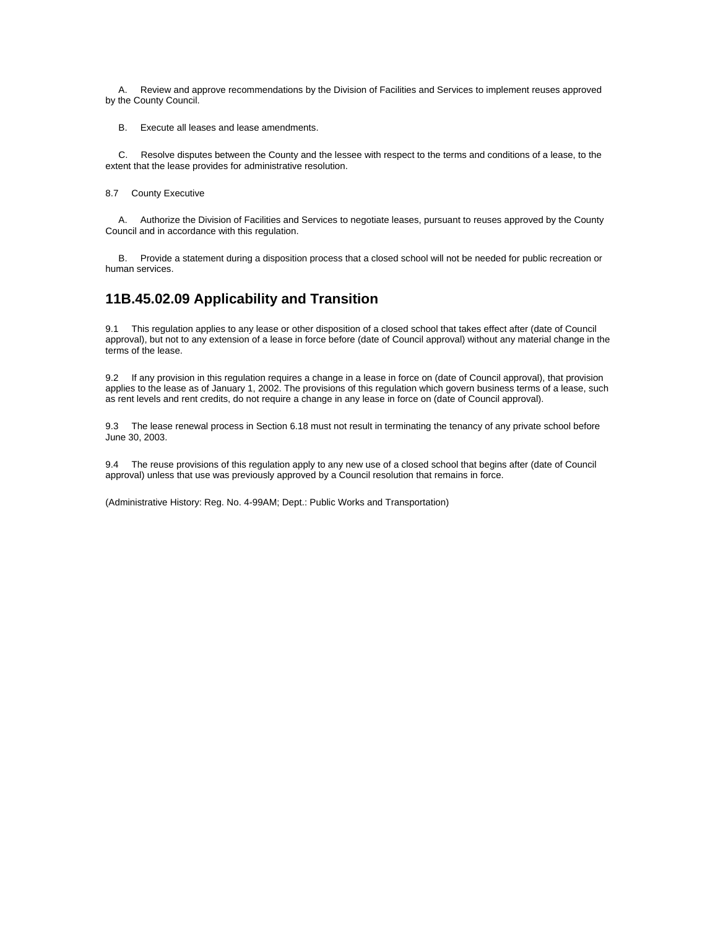A. Review and approve recommendations by the Division of Facilities and Services to implement reuses approved by the County Council.

B. Execute all leases and lease amendments.

 C. Resolve disputes between the County and the lessee with respect to the terms and conditions of a lease, to the extent that the lease provides for administrative resolution.

8.7 County Executive

 A. Authorize the Division of Facilities and Services to negotiate leases, pursuant to reuses approved by the County Council and in accordance with this regulation.

 B. Provide a statement during a disposition process that a closed school will not be needed for public recreation or human services.

## **11B.45.02.09 Applicability and Transition**

9.1 This regulation applies to any lease or other disposition of a closed school that takes effect after (date of Council approval), but not to any extension of a lease in force before (date of Council approval) without any material change in the terms of the lease.

9.2 If any provision in this regulation requires a change in a lease in force on (date of Council approval), that provision applies to the lease as of January 1, 2002. The provisions of this regulation which govern business terms of a lease, such as rent levels and rent credits, do not require a change in any lease in force on (date of Council approval).

9.3 The lease renewal process in Section 6.18 must not result in terminating the tenancy of any private school before June 30, 2003.

9.4 The reuse provisions of this regulation apply to any new use of a closed school that begins after (date of Council approval) unless that use was previously approved by a Council resolution that remains in force.

(Administrative History: Reg. No. 4-99AM; Dept.: Public Works and Transportation)